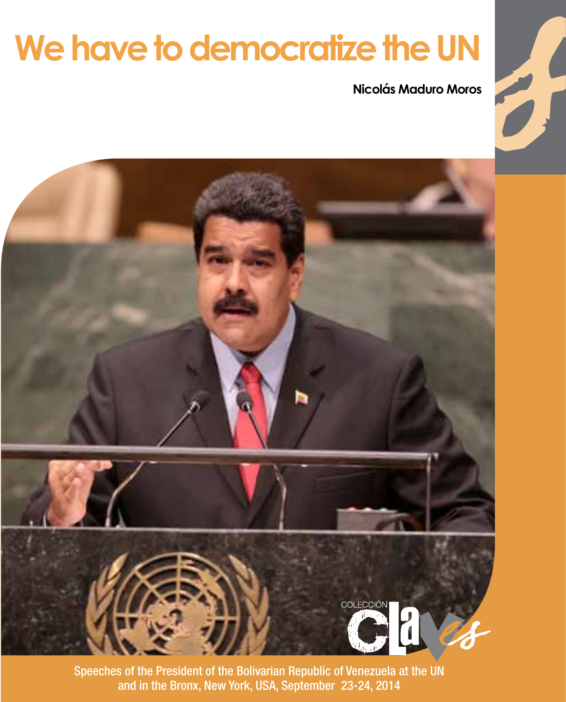### We have to democratize the UN

**Nicolás Maduro Moros**





Speeches of the President of the Bolivarian Republic of Venezuela at the UN and in the Bronx, New York, USA, September 23-24, 2014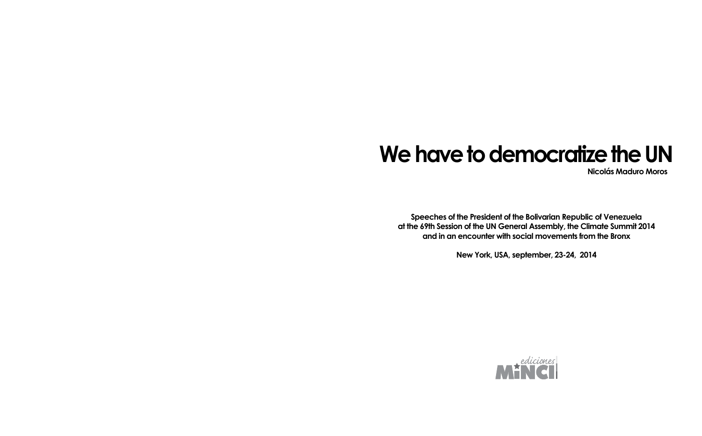### We have to democratize the UN

**Nicolás Maduro Moros**

**Speeches of the President of the Bolivarian Republic of Venezuela at the 69th Session of the UN General Assembly, the Climate Summit 2014 and in an encounter with social movements from the Bronx** 

**New York, USA, september, 23-24, 2014**

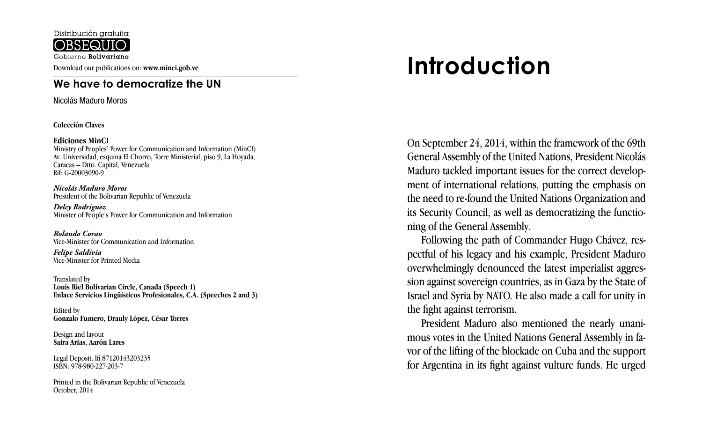

Gobierno Bolivariano

Download our publications on: **www.minci.gob.ve**

#### **We have to democratize the UN**

Nicolás Maduro Moros

**Colección Claves**

**Ediciones MinCI**  Ministry of Peoples' Power for Communication and Information (MinCI) Av. Universidad, esquina El Chorro, Torre Ministerial, piso 9, La Hoyada, Caracas – Dtto. Capital, Venezuela Rif: G-20003090-9

*Nicolás Maduro Moros* President of the Bolivarian Republic of Venezuela

*Delcy Rodríguez* Minister of People's Power for Communication and Information

*Rolando Corao* Vice-Minister for Communication and Information

*Felipe Saldivia* Vice-Minister for Printed Media

Translated by **Louis Riel Bolivarian Circle, Canada (Speech 1) Enlace Servicios Lingüísticos Profesionales, C.A. (Speeches 2 and 3)**

Edited by **Gonzalo Fumero, Drauly López, César Torres**

Design and layout **Saira Arias, Aarón Lares**

Legal Deposit: lfi 87120143203235 ISBN: 978-980-227-203-7

Printed in the Bolivarian Republic of Venezuela October, 2014

# **Introduction**

On September 24, 2014, within the framework of the 69th General Assembly of the United Nations, President Nicolás Maduro tackled important issues for the correct develop ment of international relations, putting the emphasis on the need to re-found the United Nations Organization and its Security Council, as well as democratizing the functio ning of the General Assembly.

Following the path of Commander Hugo Chávez, res pectful of his legacy and his example, President Maduro overwhelmingly denounced the latest imperialist aggres sion against sovereign countries, as in Gaza by the State of Israel and Syria by NATO. He also made a call for unity in the fight against terrorism.

President Maduro also mentioned the nearly unanimous votes in the United Nations General Assembly in fa vor of the lifting of the blockade on Cuba and the support for Argentina in its fight against vulture funds. He urged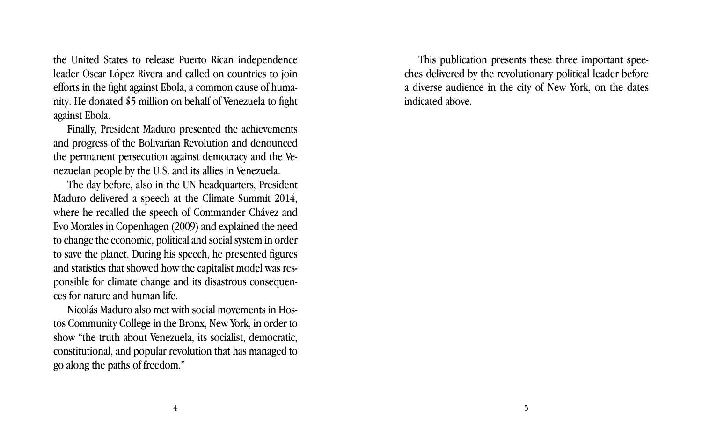the United States to release Puerto Rican independence leader Oscar López Rivera and called on countries to join efforts in the fight against Ebola, a common cause of humanity. He donated \$5 million on behalf of Venezuela to fight against Ebola.

Finally, President Maduro presented the achievements and progress of the Bolivarian Revolution and denounced the permanent persecution against democracy and the Venezuelan people by the U.S. and its allies in Venezuela.

The day before, also in the UN headquarters, President Maduro delivered a speech at the Climate Summit 2014, where he recalled the speech of Commander Chávez and Evo Morales in Copenhagen (2009) and explained the need to change the economic, political and social system in order to save the planet. During his speech, he presented figures and statistics that showed how the capitalist model was responsible for climate change and its disastrous consequences for nature and human life.

Nicolás Maduro also met with social movements in Hostos Community College in the Bronx, New York, in order to show "the truth about Venezuela, its socialist, democratic, constitutional, and popular revolution that has managed to go along the paths of freedom."

This publication presents these three important speeches delivered by the revolutionary political leader before a diverse audience in the city of New York, on the dates indicated above.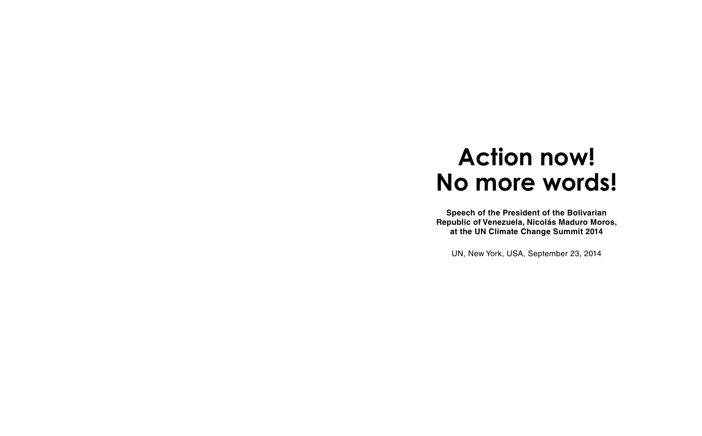### **Action now! No more words!**

**Speech of the President of the Bolivarian Republic of Venezuela, Nicolás Maduro Moros, at the UN Climate Change Summit 2014**

UN, New York, USA, September 23, 2014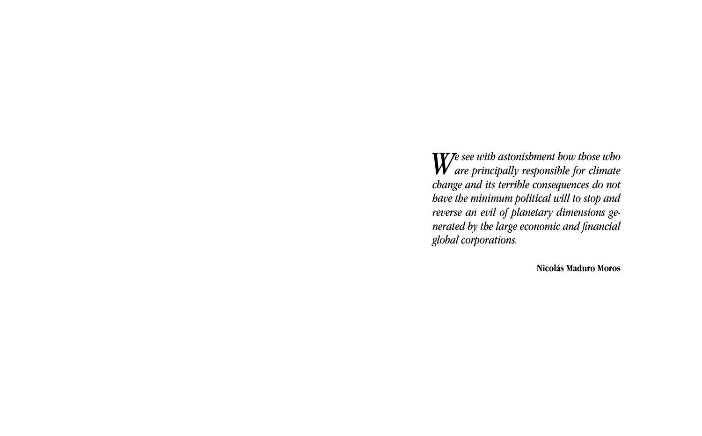*We see with astonishment how those who are principally responsible for climate change and its terrible consequences do not have the minimum political will to stop and reverse an evil of planetary dimensions generated by the large economic and financial global corporations.*

**Nicolás Maduro Moros**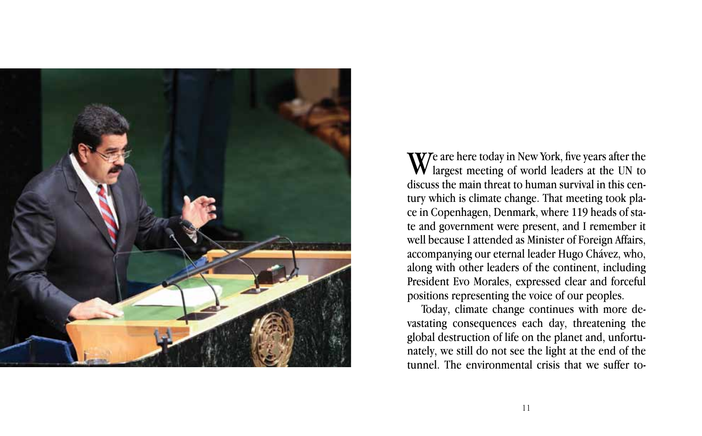

W/ Te are here today in New York, five years after the  $\bf{W}$  largest meeting of world leaders at the UN to discuss the main threat to human survival in this century which is climate change. That meeting took place in Copenhagen, Denmark, where 119 heads of state and government were present, and I remember it well because I attended as Minister of Foreign Affairs, accompanying our eternal leader Hugo Chávez, who, along with other leaders of the continent, including President Evo Morales, expressed clear and forceful positions representing the voice of our peoples.

Today, climate change continues with more devastating consequences each day, threatening the global destruction of life on the planet and, unfortunately, we still do not see the light at the end of the tunnel. The environmental crisis that we suffer to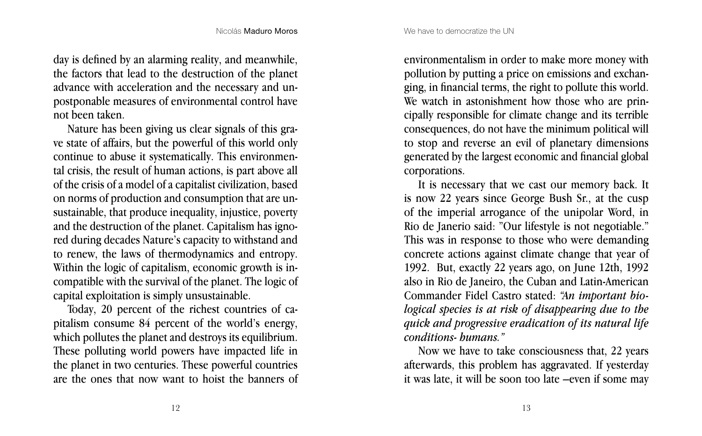day is defined by an alarming reality, and meanwhile, the factors that lead to the destruction of the planet advance with acceleration and the necessary and unpostponable measures of environmental control have not been taken.

Nature has been giving us clear signals of this grave state of affairs, but the powerful of this world only continue to abuse it systematically. This environmental crisis, the result of human actions, is part above all of the crisis of a model of a capitalist civilization, based on norms of production and consumption that are unsustainable, that produce inequality, injustice, poverty and the destruction of the planet. Capitalism has ignored during decades Nature's capacity to withstand and to renew, the laws of thermodynamics and entropy. Within the logic of capitalism, economic growth is incompatible with the survival of the planet. The logic of capital exploitation is simply unsustainable.

Today, 20 percent of the richest countries of capitalism consume 84 percent of the world's energy, which pollutes the planet and destroys its equilibrium. These polluting world powers have impacted life in the planet in two centuries. These powerful countries are the ones that now want to hoist the banners of

environmentalism in order to make more money with pollution by putting a price on emissions and exchanging, in financial terms, the right to pollute this world. We watch in astonishment how those who are principally responsible for climate change and its terrible consequences, do not have the minimum political will to stop and reverse an evil of planetary dimensions generated by the largest economic and financial global corporations.

It is necessary that we cast our memory back. It is now 22 years since George Bush Sr., at the cusp of the imperial arrogance of the unipolar Word, in Rio de Janerio said: "Our lifestyle is not negotiable." This was in response to those who were demanding concrete actions against climate change that year of 1992. But, exactly 22 years ago, on June 12th, 1992 also in Rio de Janeiro, the Cuban and Latin-American Commander Fidel Castro stated: *"An important biological species is at risk of disappearing due to the quick and progressive eradication of its natural life conditions- humans."*

Now we have to take consciousness that, 22 years afterwards, this problem has aggravated. If yesterday it was late, it will be soon too late –even if some may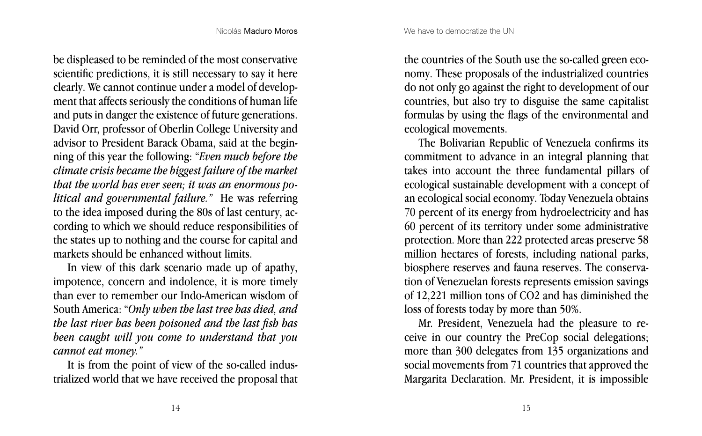be displeased to be reminded of the most conservative scientific predictions, it is still necessary to say it here clearly. We cannot continue under a model of development that affects seriously the conditions of human life and puts in danger the existence of future generations. David Orr, professor of Oberlin College University and advisor to President Barack Obama, said at the beginning of this year the following: "*Even much before the climate crisis became the biggest failure of the market that the world has ever seen; it was an enormous political and governmental failure."* He was referring to the idea imposed during the 80s of last century, according to which we should reduce responsibilities of the states up to nothing and the course for capital and markets should be enhanced without limits.

In view of this dark scenario made up of apathy, impotence, concern and indolence, it is more timely than ever to remember our Indo-American wisdom of South America: "*Only when the last tree has died, and the last river has been poisoned and the last fish has been caught will you come to understand that you cannot eat money."* 

It is from the point of view of the so-called industrialized world that we have received the proposal that

the countries of the South use the so-called green economy. These proposals of the industrialized countries do not only go against the right to development of our countries, but also try to disguise the same capitalist formulas by using the flags of the environmental and ecological movements.

The Bolivarian Republic of Venezuela confirms its commitment to advance in an integral planning that takes into account the three fundamental pillars of ecological sustainable development with a concept of an ecological social economy. Today Venezuela obtains 70 percent of its energy from hydroelectricity and has 60 percent of its territory under some administrative protection. More than 222 protected areas preserve 58 million hectares of forests, including national parks, biosphere reserves and fauna reserves. The conservation of Venezuelan forests represents emission savings of 12,221 million tons of CO2 and has diminished the loss of forests today by more than 50%.

Mr. President, Venezuela had the pleasure to receive in our country the PreCop social delegations; more than 300 delegates from 135 organizations and social movements from 71 countries that approved the Margarita Declaration. Mr. President, it is impossible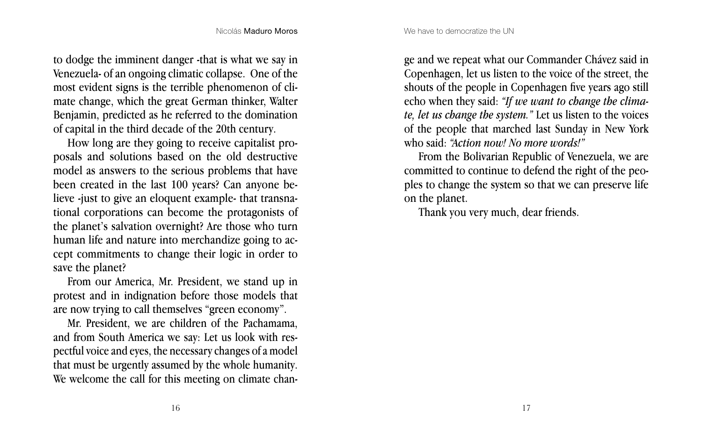Nicolás Maduro Moros We have to democratize the UN

to dodge the imminent danger -that is what we say in Venezuela- of an ongoing climatic collapse. One of the most evident signs is the terrible phenomenon of climate change, which the great German thinker, Walter Benjamin, predicted as he referred to the domination of capital in the third decade of the 20th century.

How long are they going to receive capitalist proposals and solutions based on the old destructive model as answers to the serious problems that have been created in the last 100 years? Can anyone believe -just to give an eloquent example- that transnational corporations can become the protagonists of the planet's salvation overnight? Are those who turn human life and nature into merchandize going to accept commitments to change their logic in order to save the planet?

From our America, Mr. President, we stand up in protest and in indignation before those models that are now trying to call themselves "green economy".

Mr. President, we are children of the Pachamama, and from South America we say: Let us look with respectful voice and eyes, the necessary changes of a model that must be urgently assumed by the whole humanity. We welcome the call for this meeting on climate change and we repeat what our Commander Chávez said in Copenhagen, let us listen to the voice of the street, the shouts of the people in Copenhagen five years ago still echo when they said: *"If we want to change the climate, let us change the system."* Let us listen to the voices of the people that marched last Sunday in New York who said: *"Action now! No more words!"* 

From the Bolivarian Republic of Venezuela, we are committed to continue to defend the right of the peoples to change the system so that we can preserve life on the planet.

Thank you very much, dear friends.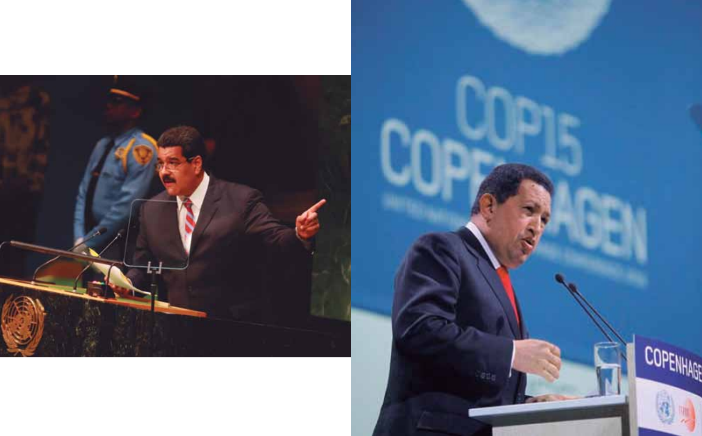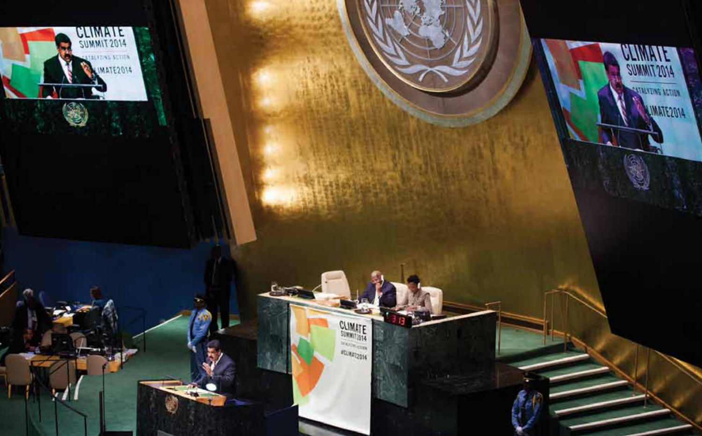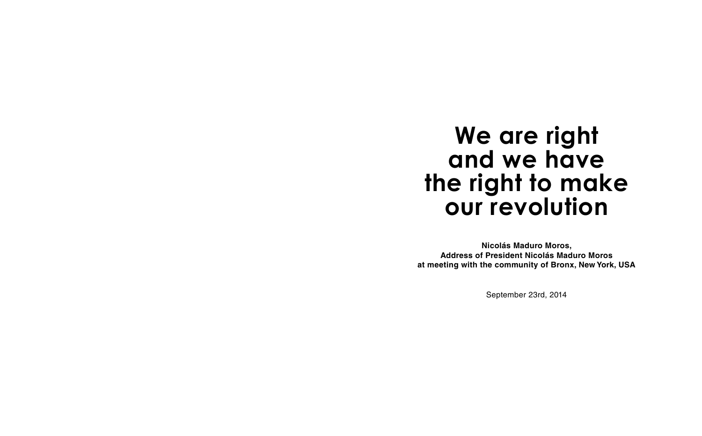#### **We are right and we have the right to make our revolution**

**Nicolás Maduro Moros, Address of President Nicolás Maduro Moros at meeting with the community of Bronx, New York, USA**

September 23rd, 2014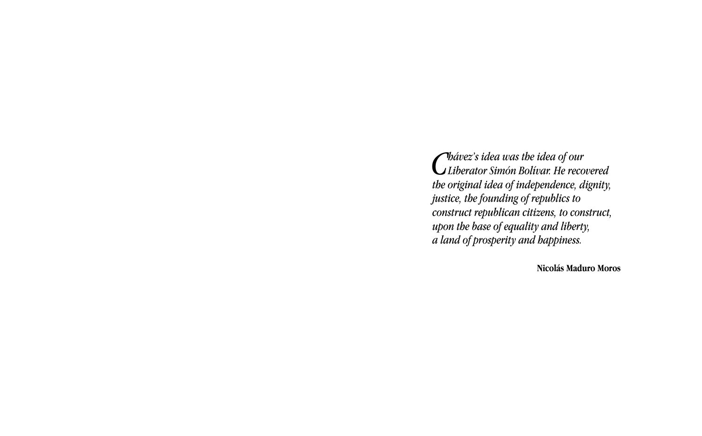*Chávez's idea was the idea of our Liberator Simón Bolívar. He recovered the original idea of independence, dignity, justice, the founding of republics to construct republican citizens, to construct, upon the base of equality and liberty, a land of prosperity and happiness.*

**Nicolás Maduro Moros**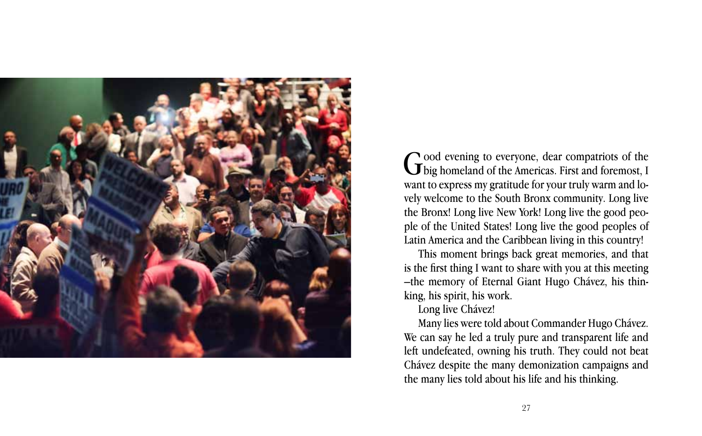

Good evening to everyone, dear compatriots of the big homeland of the Americas. First and foremost, I want to express my gratitude for your truly warm and lovely welcome to the South Bronx community. Long live the Bronx! Long live New York! Long live the good people of the United States! Long live the good peoples of Latin America and the Caribbean living in this country!

This moment brings back great memories, and that is the first thing I want to share with you at this meeting –the memory of Eternal Giant Hugo Chávez, his thinking, his spirit, his work.

Long live Chávez!

Many lies were told about Commander Hugo Chávez. We can say he led a truly pure and transparent life and left undefeated, owning his truth. They could not beat Chávez despite the many demonization campaigns and the many lies told about his life and his thinking.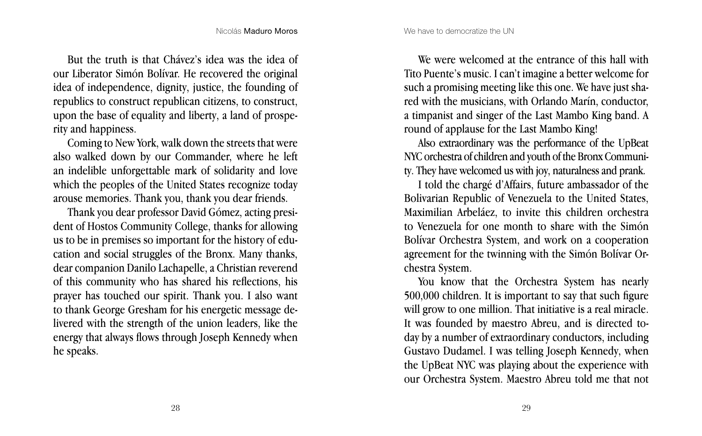But the truth is that Chávez's idea was the idea of our Liberator Simón Bolívar. He recovered the original idea of independence, dignity, justice, the founding of republics to construct republican citizens, to construct, upon the base of equality and liberty, a land of prosperity and happiness.

Coming to New York, walk down the streets that were also walked down by our Commander, where he left an indelible unforgettable mark of solidarity and love which the peoples of the United States recognize today arouse memories. Thank you, thank you dear friends.

Thank you dear professor David Gómez, acting president of Hostos Community College, thanks for allowing us to be in premises so important for the history of education and social struggles of the Bronx. Many thanks, dear companion Danilo Lachapelle, a Christian reverend of this community who has shared his reflections, his prayer has touched our spirit. Thank you. I also want to thank George Gresham for his energetic message delivered with the strength of the union leaders, like the energy that always flows through Joseph Kennedy when he speaks.

We were welcomed at the entrance of this hall with Tito Puente's music. I can't imagine a better welcome for such a promising meeting like this one. We have just shared with the musicians, with Orlando Marín, conductor, a timpanist and singer of the Last Mambo King band. A round of applause for the Last Mambo King!

Also extraordinary was the performance of the UpBeat NYC orchestra of children and youth of the Bronx Community. They have welcomed us with joy, naturalness and prank.

I told the chargé d'Affairs, future ambassador of the Bolivarian Republic of Venezuela to the United States, Maximilian Arbeláez, to invite this children orchestra to Venezuela for one month to share with the Simón Bolívar Orchestra System, and work on a cooperation agreement for the twinning with the Simón Bolívar Orchestra System.

You know that the Orchestra System has nearly 500,000 children. It is important to say that such figure will grow to one million. That initiative is a real miracle. It was founded by maestro Abreu, and is directed today by a number of extraordinary conductors, including Gustavo Dudamel. I was telling Joseph Kennedy, when the UpBeat NYC was playing about the experience with our Orchestra System. Maestro Abreu told me that not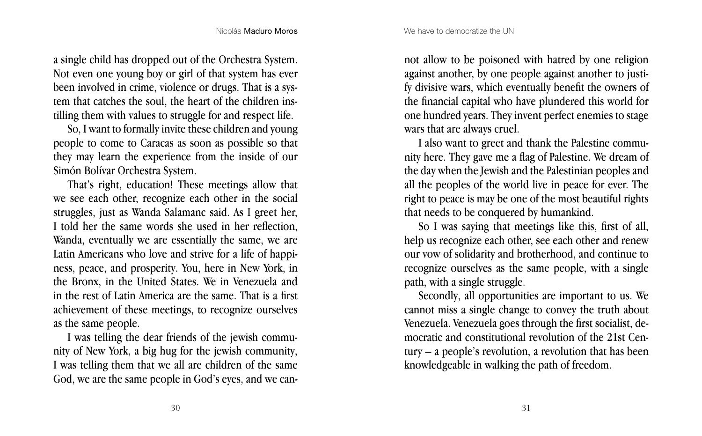Nicolás Maduro Moros We have to democratize the UN

a single child has dropped out of the Orchestra System. Not even one young boy or girl of that system has ever been involved in crime, violence or drugs. That is a system that catches the soul, the heart of the children instilling them with values to struggle for and respect life.

So, I want to formally invite these children and young people to come to Caracas as soon as possible so that they may learn the experience from the inside of our Simón Bolívar Orchestra System.

That's right, education! These meetings allow that we see each other, recognize each other in the social struggles, just as Wanda Salamanc said. As I greet her, I told her the same words she used in her reflection, Wanda, eventually we are essentially the same, we are Latin Americans who love and strive for a life of happiness, peace, and prosperity. You, here in New York, in the Bronx, in the United States. We in Venezuela and in the rest of Latin America are the same. That is a first achievement of these meetings, to recognize ourselves as the same people.

I was telling the dear friends of the jewish community of New York, a big hug for the jewish community, I was telling them that we all are children of the same God, we are the same people in God's eyes, and we can-

not allow to be poisoned with hatred by one religion against another, by one people against another to justify divisive wars, which eventually benefit the owners of the financial capital who have plundered this world for one hundred years. They invent perfect enemies to stage wars that are always cruel.

I also want to greet and thank the Palestine community here. They gave me a flag of Palestine. We dream of the day when the Jewish and the Palestinian peoples and all the peoples of the world live in peace for ever. The right to peace is may be one of the most beautiful rights that needs to be conquered by humankind.

So I was saying that meetings like this, first of all, help us recognize each other, see each other and renew our vow of solidarity and brotherhood, and continue to recognize ourselves as the same people, with a single path, with a single struggle.

Secondly, all opportunities are important to us. We cannot miss a single change to convey the truth about Venezuela. Venezuela goes through the first socialist, democratic and constitutional revolution of the 21st Century – a people's revolution, a revolution that has been knowledgeable in walking the path of freedom.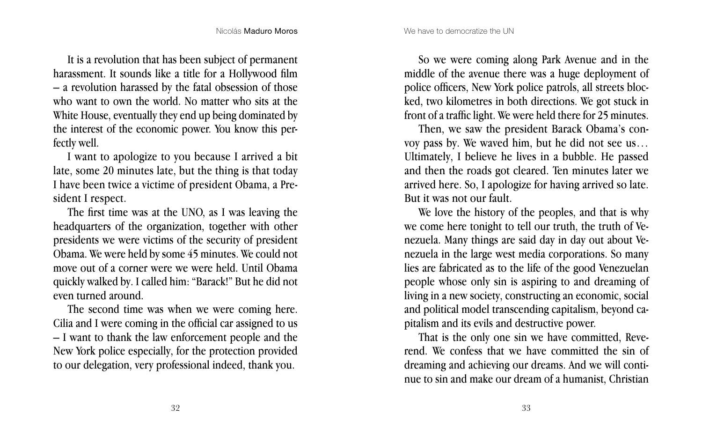It is a revolution that has been subject of permanent harassment. It sounds like a title for a Hollywood film – a revolution harassed by the fatal obsession of those who want to own the world. No matter who sits at the White House, eventually they end up being dominated by the interest of the economic power. You know this perfectly well.

I want to apologize to you because I arrived a bit late, some 20 minutes late, but the thing is that today I have been twice a victime of president Obama, a President I respect.

The first time was at the UNO, as I was leaving the headquarters of the organization, together with other presidents we were victims of the security of president Obama. We were held by some 45 minutes. We could not move out of a corner were we were held. Until Obama quickly walked by. I called him: "Barack!" But he did not even turned around.

The second time was when we were coming here. Cilia and I were coming in the official car assigned to us – I want to thank the law enforcement people and the New York police especially, for the protection provided to our delegation, very professional indeed, thank you.

So we were coming along Park Avenue and in the middle of the avenue there was a huge deployment of police officers, New York police patrols, all streets blocked, two kilometres in both directions. We got stuck in front of a traffic light. We were held there for 25 minutes.

Then, we saw the president Barack Obama's convoy pass by. We waved him, but he did not see us… Ultimately, I believe he lives in a bubble. He passed and then the roads got cleared. Ten minutes later we arrived here. So, I apologize for having arrived so late. But it was not our fault.

We love the history of the peoples, and that is why we come here tonight to tell our truth, the truth of Venezuela. Many things are said day in day out about Venezuela in the large west media corporations. So many lies are fabricated as to the life of the good Venezuelan people whose only sin is aspiring to and dreaming of living in a new society, constructing an economic, social and political model transcending capitalism, beyond capitalism and its evils and destructive power.

That is the only one sin we have committed, Reverend. We confess that we have committed the sin of dreaming and achieving our dreams. And we will continue to sin and make our dream of a humanist, Christian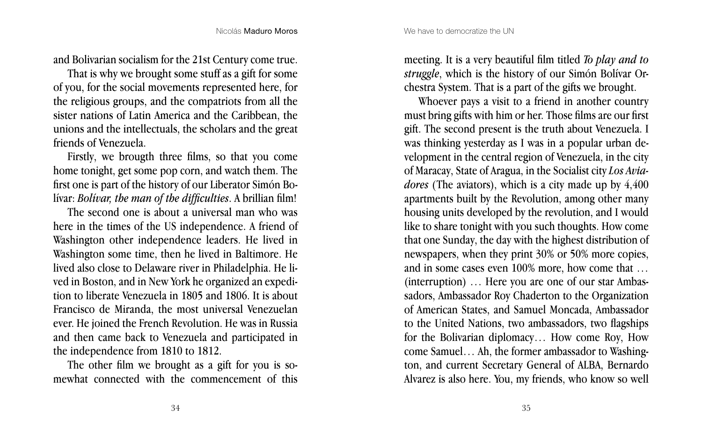and Bolivarian socialism for the 21st Century come true.

That is why we brought some stuff as a gift for some of you, for the social movements represented here, for the religious groups, and the compatriots from all the sister nations of Latin America and the Caribbean, the unions and the intellectuals, the scholars and the great friends of Venezuela.

Firstly, we brougth three films, so that you come home tonight, get some pop corn, and watch them. The first one is part of the history of our Liberator Simón Bolívar: *Bolívar, the man of the difficulties*. A brillian film!

The second one is about a universal man who was here in the times of the US independence. A friend of Washington other independence leaders. He lived in Washington some time, then he lived in Baltimore. He lived also close to Delaware river in Philadelphia. He lived in Boston, and in New York he organized an expedition to liberate Venezuela in 1805 and 1806. It is about Francisco de Miranda, the most universal Venezuelan ever. He joined the French Revolution. He was in Russia and then came back to Venezuela and participated in the independence from 1810 to 1812.

The other film we brought as a gift for you is somewhat connected with the commencement of this

meeting. It is a very beautiful film titled *To play and to struggle*, which is the history of our Simón Bolívar Orchestra System. That is a part of the gifts we brought.

Whoever pays a visit to a friend in another country must bring gifts with him or her. Those films are our first gift. The second present is the truth about Venezuela. I was thinking yesterday as I was in a popular urban development in the central region of Venezuela, in the city of Maracay, State of Aragua, in the Socialist city *Los Aviadores* (The aviators), which is a city made up by 4,400 apartments built by the Revolution, among other many housing units developed by the revolution, and I would like to share tonight with you such thoughts. How come that one Sunday, the day with the highest distribution of newspapers, when they print 30% or 50% more copies, and in some cases even 100% more, how come that … (interruption) … Here you are one of our star Ambassadors, Ambassador Roy Chaderton to the Organization of American States, and Samuel Moncada, Ambassador to the United Nations, two ambassadors, two flagships for the Bolivarian diplomacy… How come Roy, How come Samuel… Ah, the former ambassador to Washington, and current Secretary General of ALBA, Bernardo Alvarez is also here. You, my friends, who know so well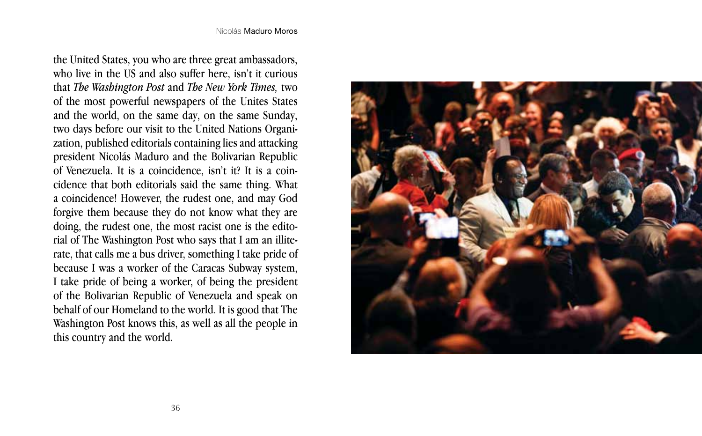the United States, you who are three great ambassadors, who live in the US and also suffer here, isn't it curious that *The Washington Post* and *The New York Times,* two of the most powerful newspapers of the Unites States and the world, on the same day, on the same Sunday, two days before our visit to the United Nations Organization, published editorials containing lies and attacking president Nicolás Maduro and the Bolivarian Republic of Venezuela. It is a coincidence, isn't it? It is a coincidence that both editorials said the same thing. What a coincidence! However, the rudest one, and may God forgive them because they do not know what they are doing, the rudest one, the most racist one is the editorial of The Washington Post who says that I am an illiterate, that calls me a bus driver, something I take pride of because I was a worker of the Caracas Subway system, I take pride of being a worker, of being the president of the Bolivarian Republic of Venezuela and speak on behalf of our Homeland to the world. It is good that The Washington Post knows this, as well as all the people in this country and the world.

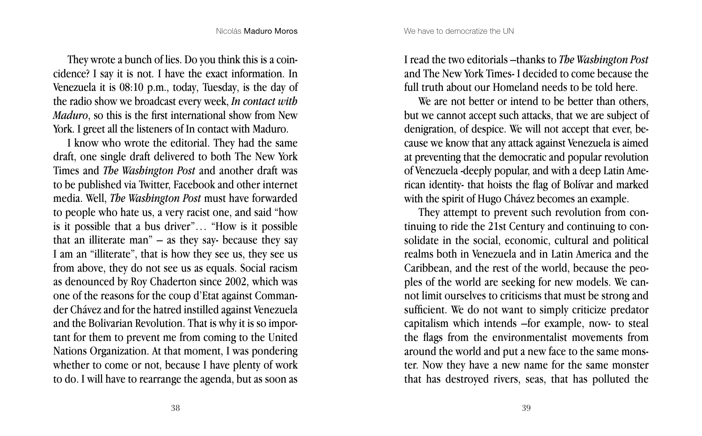Nicolás Maduro Moros We have to democratize the UN

They wrote a bunch of lies. Do you think this is a coincidence? I say it is not. I have the exact information. In Venezuela it is 08:10 p.m., today, Tuesday, is the day of the radio show we broadcast every week, *In contact with Maduro*, so this is the first international show from New York. I greet all the listeners of In contact with Maduro.

I know who wrote the editorial. They had the same draft, one single draft delivered to both The New York Times and *The Washington Post* and another draft was to be published via Twitter, Facebook and other internet media. Well, *The Washington Post* must have forwarded to people who hate us, a very racist one, and said "how is it possible that a bus driver"… "How is it possible that an illiterate man"  $-$  as they say- because they say I am an "illiterate", that is how they see us, they see us from above, they do not see us as equals. Social racism as denounced by Roy Chaderton since 2002, which was one of the reasons for the coup d'Etat against Commander Chávez and for the hatred instilled against Venezuela and the Bolivarian Revolution. That is why it is so important for them to prevent me from coming to the United Nations Organization. At that moment, I was pondering whether to come or not, because I have plenty of work to do. I will have to rearrange the agenda, but as soon as

I read the two editorials –thanks to *The Washington Post*  and The New York Times- I decided to come because the full truth about our Homeland needs to be told here.

We are not better or intend to be better than others, but we cannot accept such attacks, that we are subject of denigration, of despice. We will not accept that ever, because we know that any attack against Venezuela is aimed at preventing that the democratic and popular revolution of Venezuela -deeply popular, and with a deep Latin American identity- that hoists the flag of Bolívar and marked with the spirit of Hugo Chávez becomes an example.

They attempt to prevent such revolution from continuing to ride the 21st Century and continuing to consolidate in the social, economic, cultural and political realms both in Venezuela and in Latin America and the Caribbean, and the rest of the world, because the peoples of the world are seeking for new models. We cannot limit ourselves to criticisms that must be strong and sufficient. We do not want to simply criticize predator capitalism which intends –for example, now- to steal the flags from the environmentalist movements from around the world and put a new face to the same monster. Now they have a new name for the same monster that has destroyed rivers, seas, that has polluted the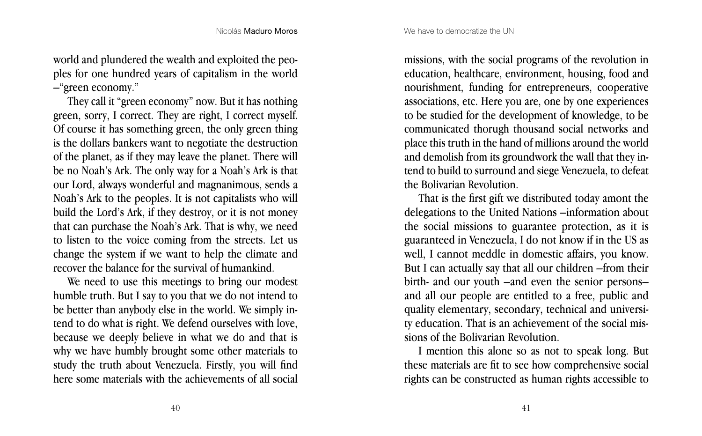world and plundered the wealth and exploited the peoples for one hundred years of capitalism in the world –"green economy."

They call it "green economy" now. But it has nothing green, sorry, I correct. They are right, I correct myself. Of course it has something green, the only green thing is the dollars bankers want to negotiate the destruction of the planet, as if they may leave the planet. There will be no Noah's Ark. The only way for a Noah's Ark is that our Lord, always wonderful and magnanimous, sends a Noah's Ark to the peoples. It is not capitalists who will build the Lord's Ark, if they destroy, or it is not money that can purchase the Noah's Ark. That is why, we need to listen to the voice coming from the streets. Let us change the system if we want to help the climate and recover the balance for the survival of humankind.

We need to use this meetings to bring our modest humble truth. But I say to you that we do not intend to be better than anybody else in the world. We simply intend to do what is right. We defend ourselves with love, because we deeply believe in what we do and that is why we have humbly brought some other materials to study the truth about Venezuela. Firstly, you will find here some materials with the achievements of all social

missions, with the social programs of the revolution in education, healthcare, environment, housing, food and nourishment, funding for entrepreneurs, cooperative associations, etc. Here you are, one by one experiences to be studied for the development of knowledge, to be communicated thorugh thousand social networks and place this truth in the hand of millions around the world and demolish from its groundwork the wall that they intend to build to surround and siege Venezuela, to defeat the Bolivarian Revolution.

That is the first gift we distributed today amont the delegations to the United Nations –information about the social missions to guarantee protection, as it is guaranteed in Venezuela, I do not know if in the US as well, I cannot meddle in domestic affairs, you know. But I can actually say that all our children –from their birth- and our youth –and even the senior persons– and all our people are entitled to a free, public and quality elementary, secondary, technical and university education. That is an achievement of the social missions of the Bolivarian Revolution.

I mention this alone so as not to speak long. But these materials are fit to see how comprehensive social rights can be constructed as human rights accessible to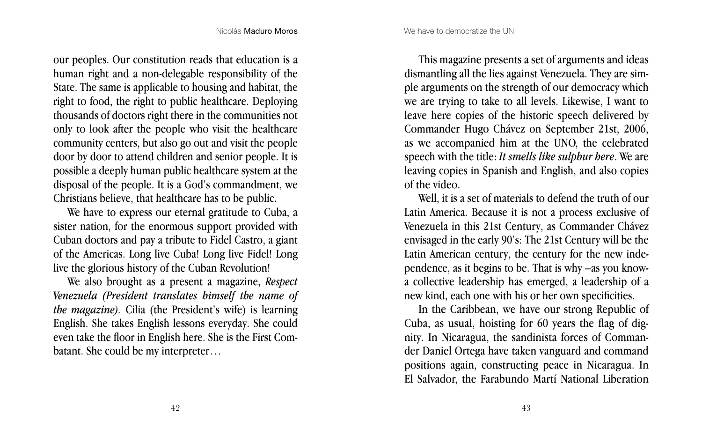our peoples. Our constitution reads that education is a human right and a non-delegable responsibility of the State. The same is applicable to housing and habitat, the right to food, the right to public healthcare. Deploying thousands of doctors right there in the communities not only to look after the people who visit the healthcare community centers, but also go out and visit the people door by door to attend children and senior people. It is possible a deeply human public healthcare system at the disposal of the people. It is a God's commandment, we Christians believe, that healthcare has to be public.

We have to express our eternal gratitude to Cuba, a sister nation, for the enormous support provided with Cuban doctors and pay a tribute to Fidel Castro, a giant of the Americas. Long live Cuba! Long live Fidel! Long live the glorious history of the Cuban Revolution!

We also brought as a present a magazine, *Respect Venezuela (President translates himself the name of the magazine).* Cilia (the President's wife) is learning English. She takes English lessons everyday. She could even take the floor in English here. She is the First Combatant. She could be my interpreter…

This magazine presents a set of arguments and ideas dismantling all the lies against Venezuela. They are simple arguments on the strength of our democracy which we are trying to take to all levels. Likewise, I want to leave here copies of the historic speech delivered by Commander Hugo Chávez on September 21st, 2006, as we accompanied him at the UNO, the celebrated speech with the title: *It smells like sulphur here*. We are leaving copies in Spanish and English, and also copies of the video.

Well, it is a set of materials to defend the truth of our Latin America. Because it is not a process exclusive of Venezuela in this 21st Century, as Commander Chávez envisaged in the early 90's: The 21st Century will be the Latin American century, the century for the new independence, as it begins to be. That is why –as you knowa collective leadership has emerged, a leadership of a new kind, each one with his or her own specificities.

In the Caribbean, we have our strong Republic of Cuba, as usual, hoisting for 60 years the flag of dignity. In Nicaragua, the sandinista forces of Commander Daniel Ortega have taken vanguard and command positions again, constructing peace in Nicaragua. In El Salvador, the Farabundo Martí National Liberation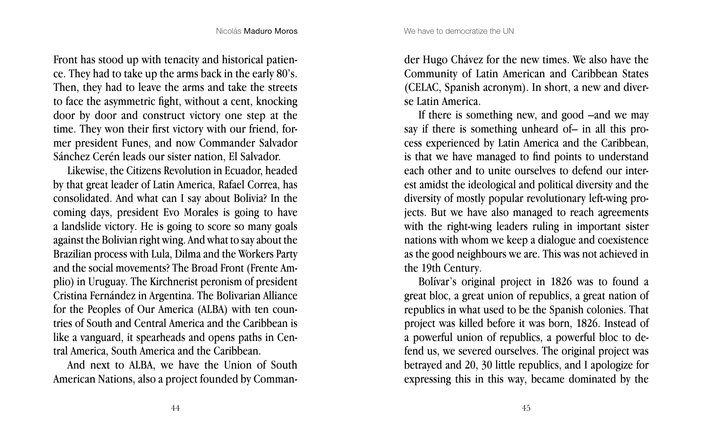Front has stood up with tenacity and historical patience. They had to take up the arms back in the early 80's. Then, they had to leave the arms and take the streets to face the asymmetric fight, without a cent, knocking door by door and construct victory one step at the time. They won their first victory with our friend, former president Funes, and now Commander Salvador Sánchez Cerén leads our sister nation, El Salvador.

Likewise, the Citizens Revolution in Ecuador, headed by that great leader of Latin America, Rafael Correa, has consolidated. And what can I say about Bolivia? In the coming days, president Evo Morales is going to have a landslide victory. He is going to score so many goals against the Bolivian right wing. And what to say about the Brazilian process with Lula, Dilma and the Workers Party and the social movements? The Broad Front (Frente Amplio) in Uruguay. The Kirchnerist peronism of president Cristina Fernández in Argentina. The Bolivarian Alliance for the Peoples of Our America (ALBA) with ten countries of South and Central America and the Caribbean is like a vanguard, it spearheads and opens paths in Central America, South America and the Caribbean.

And next to ALBA, we have the Union of South American Nations, also a project founded by Commander Hugo Chávez for the new times. We also have the Community of Latin American and Caribbean States (CELAC, Spanish acronym). In short, a new and diverse Latin America.

If there is something new, and good –and we may say if there is something unheard of– in all this process experienced by Latin America and the Caribbean, is that we have managed to find points to understand each other and to unite ourselves to defend our interest amidst the ideological and political diversity and the diversity of mostly popular revolutionary left-wing projects. But we have also managed to reach agreements with the right-wing leaders ruling in important sister nations with whom we keep a dialogue and coexistence as the good neighbours we are. This was not achieved in the 19th Century.

Bolívar's original project in 1826 was to found a great bloc, a great union of republics, a great nation of republics in what used to be the Spanish colonies. That project was killed before it was born, 1826. Instead of a powerful union of republics, a powerful bloc to defend us, we severed ourselves. The original project was betrayed and 20, 30 little republics, and I apologize for expressing this in this way, became dominated by the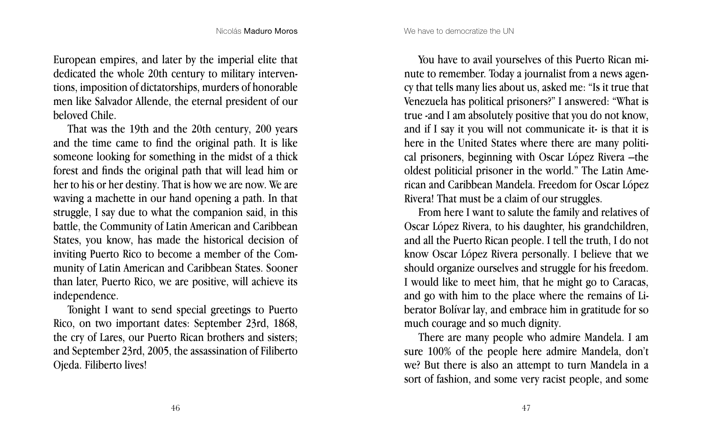European empires, and later by the imperial elite that dedicated the whole 20th century to military interventions, imposition of dictatorships, murders of honorable men like Salvador Allende, the eternal president of our beloved Chile.

That was the 19th and the 20th century, 200 years and the time came to find the original path. It is like someone looking for something in the midst of a thick forest and finds the original path that will lead him or her to his or her destiny. That is how we are now. We are waving a machette in our hand opening a path. In that struggle, I say due to what the companion said, in this battle, the Community of Latin American and Caribbean States, you know, has made the historical decision of inviting Puerto Rico to become a member of the Community of Latin American and Caribbean States. Sooner than later, Puerto Rico, we are positive, will achieve its independence.

Tonight I want to send special greetings to Puerto Rico, on two important dates: September 23rd, 1868, the cry of Lares, our Puerto Rican brothers and sisters; and September 23rd, 2005, the assassination of Filiberto Ojeda. Filiberto lives!

Nicolás Maduro Moros We have to democratize the UN

You have to avail yourselves of this Puerto Rican minute to remember. Today a journalist from a news agency that tells many lies about us, asked me: "Is it true that Venezuela has political prisoners?" I answered: "What is true -and I am absolutely positive that you do not know, and if I say it you will not communicate it- is that it is here in the United States where there are many political prisoners, beginning with Oscar López Rivera –the oldest politicial prisoner in the world." The Latin American and Caribbean Mandela. Freedom for Oscar López Rivera! That must be a claim of our struggles.

From here I want to salute the family and relatives of Oscar López Rivera, to his daughter, his grandchildren, and all the Puerto Rican people. I tell the truth, I do not know Oscar López Rivera personally. I believe that we should organize ourselves and struggle for his freedom. I would like to meet him, that he might go to Caracas, and go with him to the place where the remains of Liberator Bolívar lay, and embrace him in gratitude for so much courage and so much dignity.

There are many people who admire Mandela. I am sure 100% of the people here admire Mandela, don't we? But there is also an attempt to turn Mandela in a sort of fashion, and some very racist people, and some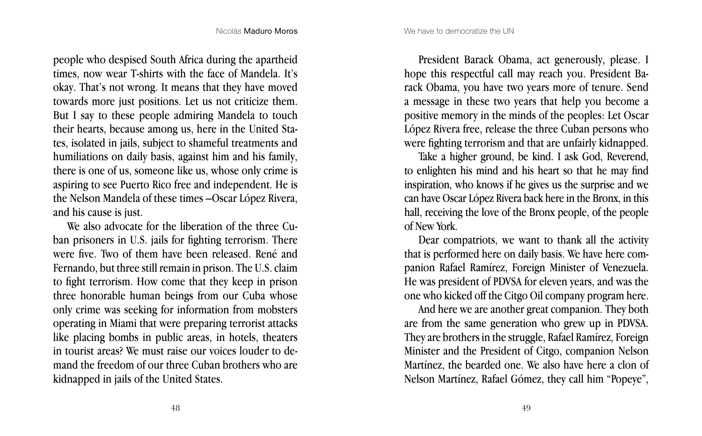people who despised South Africa during the apartheid times, now wear T-shirts with the face of Mandela. It's okay. That's not wrong. It means that they have moved towards more just positions. Let us not criticize them. But I say to these people admiring Mandela to touch their hearts, because among us, here in the United States, isolated in jails, subject to shameful treatments and humiliations on daily basis, against him and his family, there is one of us, someone like us, whose only crime is aspiring to see Puerto Rico free and independent. He is the Nelson Mandela of these times –Oscar López Rivera, and his cause is just.

We also advocate for the liberation of the three Cuban prisoners in U.S. jails for fighting terrorism. There were five. Two of them have been released. René and Fernando, but three still remain in prison. The U.S. claim to fight terrorism. How come that they keep in prison three honorable human beings from our Cuba whose only crime was seeking for information from mobsters operating in Miami that were preparing terrorist attacks like placing bombs in public areas, in hotels, theaters in tourist areas? We must raise our voices louder to demand the freedom of our three Cuban brothers who are kidnapped in jails of the United States.

President Barack Obama, act generously, please. I hope this respectful call may reach you. President Barack Obama, you have two years more of tenure. Send a message in these two years that help you become a positive memory in the minds of the peoples: Let Oscar López Rivera free, release the three Cuban persons who were fighting terrorism and that are unfairly kidnapped.

Take a higher ground, be kind. I ask God, Reverend, to enlighten his mind and his heart so that he may find inspiration, who knows if he gives us the surprise and we can have Oscar López Rivera back here in the Bronx, in this hall, receiving the love of the Bronx people, of the people of New York.

Dear compatriots, we want to thank all the activity that is performed here on daily basis. We have here companion Rafael Ramírez, Foreign Minister of Venezuela. He was president of PDVSA for eleven years, and was the one who kicked off the Citgo Oil company program here.

And here we are another great companion. They both are from the same generation who grew up in PDVSA. They are brothers in the struggle, Rafael Ramírez, Foreign Minister and the President of Citgo, companion Nelson Martínez, the bearded one. We also have here a clon of Nelson Martínez, Rafael Gómez, they call him "Popeye",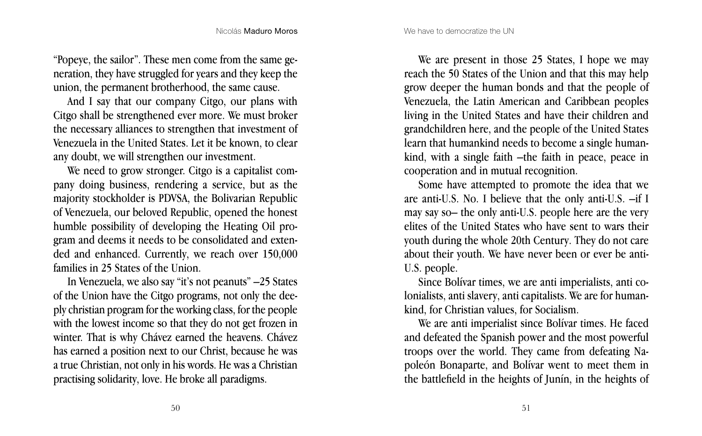"Popeye, the sailor". These men come from the same generation, they have struggled for years and they keep the union, the permanent brotherhood, the same cause.

And I say that our company Citgo, our plans with Citgo shall be strengthened ever more. We must broker the necessary alliances to strengthen that investment of Venezuela in the United States. Let it be known, to clear any doubt, we will strengthen our investment.

We need to grow stronger. Citgo is a capitalist company doing business, rendering a service, but as the majority stockholder is PDVSA, the Bolivarian Republic of Venezuela, our beloved Republic, opened the honest humble possibility of developing the Heating Oil program and deems it needs to be consolidated and extended and enhanced. Currently, we reach over 150,000 families in 25 States of the Union.

In Venezuela, we also say "it's not peanuts" –25 States of the Union have the Citgo programs, not only the deeply christian program for the working class, for the people with the lowest income so that they do not get frozen in winter. That is why Chávez earned the heavens. Chávez has earned a position next to our Christ, because he was a true Christian, not only in his words. He was a Christian practising solidarity, love. He broke all paradigms.

We are present in those 25 States, I hope we may reach the 50 States of the Union and that this may help grow deeper the human bonds and that the people of Venezuela, the Latin American and Caribbean peoples living in the United States and have their children and grandchildren here, and the people of the United States learn that humankind needs to become a single humankind, with a single faith –the faith in peace, peace in cooperation and in mutual recognition.

Some have attempted to promote the idea that we are anti-U.S. No. I believe that the only anti-U.S. –if I may say so– the only anti-U.S. people here are the very elites of the United States who have sent to wars their youth during the whole 20th Century. They do not care about their youth. We have never been or ever be anti-U.S. people.

Since Bolívar times, we are anti imperialists, anti colonialists, anti slavery, anti capitalists. We are for humankind, for Christian values, for Socialism.

We are anti imperialist since Bolívar times. He faced and defeated the Spanish power and the most powerful troops over the world. They came from defeating Napoleón Bonaparte, and Bolívar went to meet them in the battlefield in the heights of Junín, in the heights of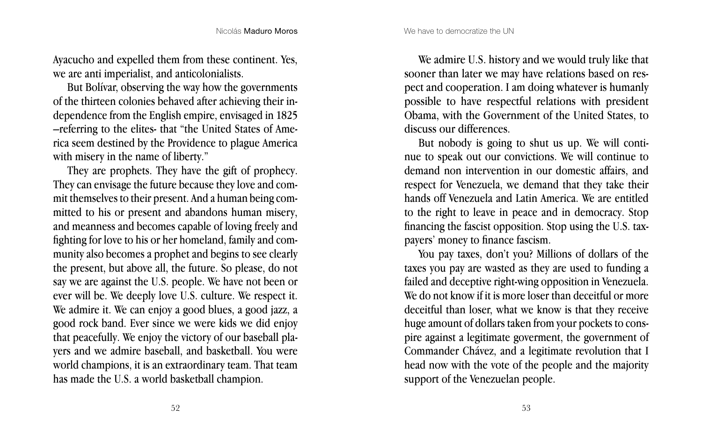Ayacucho and expelled them from these continent. Yes, we are anti imperialist, and anticolonialists.

But Bolívar, observing the way how the governments of the thirteen colonies behaved after achieving their independence from the English empire, envisaged in 1825 –referring to the elites- that "the United States of America seem destined by the Providence to plague America with misery in the name of liberty."

They are prophets. They have the gift of prophecy. They can envisage the future because they love and commit themselves to their present. And a human being committed to his or present and abandons human misery, and meanness and becomes capable of loving freely and fighting for love to his or her homeland, family and community also becomes a prophet and begins to see clearly the present, but above all, the future. So please, do not say we are against the U.S. people. We have not been or ever will be. We deeply love U.S. culture. We respect it. We admire it. We can enjoy a good blues, a good jazz, a good rock band. Ever since we were kids we did enjoy that peacefully. We enjoy the victory of our baseball players and we admire baseball, and basketball. You were world champions, it is an extraordinary team. That team has made the U.S. a world basketball champion.

Nicolás Maduro Moros We have to democratize the UN

We admire U.S. history and we would truly like that sooner than later we may have relations based on respect and cooperation. I am doing whatever is humanly possible to have respectful relations with president Obama, with the Government of the United States, to discuss our differences.

But nobody is going to shut us up. We will continue to speak out our convictions. We will continue to demand non intervention in our domestic affairs, and respect for Venezuela, we demand that they take their hands off Venezuela and Latin America. We are entitled to the right to leave in peace and in democracy. Stop financing the fascist opposition. Stop using the U.S. taxpayers' money to finance fascism.

You pay taxes, don't you? Millions of dollars of the taxes you pay are wasted as they are used to funding a failed and deceptive right-wing opposition in Venezuela. We do not know if it is more loser than deceitful or more deceitful than loser, what we know is that they receive huge amount of dollars taken from your pockets to conspire against a legitimate goverment, the government of Commander Chávez, and a legitimate revolution that I head now with the vote of the people and the majority support of the Venezuelan people.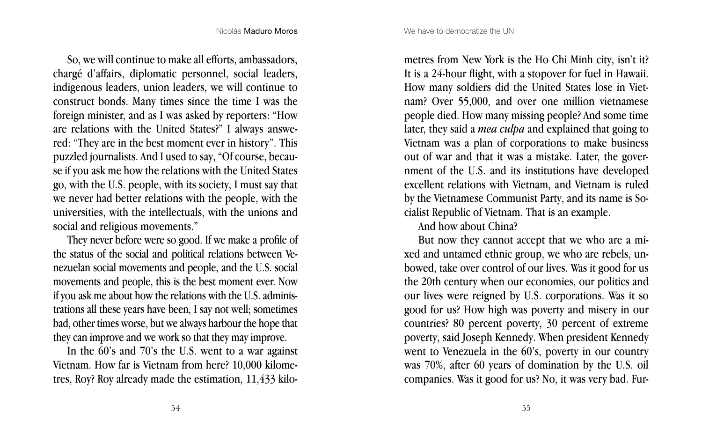So, we will continue to make all efforts, ambassadors, chargé d'affairs, diplomatic personnel, social leaders, indigenous leaders, union leaders, we will continue to construct bonds. Many times since the time I was the foreign minister, and as I was asked by reporters: "How are relations with the United States?" I always answered: "They are in the best moment ever in history". This puzzled journalists. And I used to say, "Of course, because if you ask me how the relations with the United States go, with the U.S. people, with its society, I must say that we never had better relations with the people, with the universities, with the intellectuals, with the unions and social and religious movements."

They never before were so good. If we make a profile of the status of the social and political relations between Venezuelan social movements and people, and the U.S. social movements and people, this is the best moment ever. Now if you ask me about how the relations with the U.S. administrations all these years have been, I say not well; sometimes bad, other times worse, but we always harbour the hope that they can improve and we work so that they may improve.

In the 60's and 70's the U.S. went to a war against Vietnam. How far is Vietnam from here? 10,000 kilometres, Roy? Roy already made the estimation, 11,433 kilometres from New York is the Ho Chi Minh city, isn't it? It is a 24-hour flight, with a stopover for fuel in Hawaii. How many soldiers did the United States lose in Vietnam? Over 55,000, and over one million vietnamese people died. How many missing people? And some time later, they said a *mea culpa* and explained that going to Vietnam was a plan of corporations to make business out of war and that it was a mistake. Later, the government of the U.S. and its institutions have developed excellent relations with Vietnam, and Vietnam is ruled by the Vietnamese Communist Party, and its name is Socialist Republic of Vietnam. That is an example.

#### And how about China?

But now they cannot accept that we who are a mixed and untamed ethnic group, we who are rebels, unbowed, take over control of our lives. Was it good for us the 20th century when our economies, our politics and our lives were reigned by U.S. corporations. Was it so good for us? How high was poverty and misery in our countries? 80 percent poverty, 30 percent of extreme poverty, said Joseph Kennedy. When president Kennedy went to Venezuela in the 60's, poverty in our country was 70%, after 60 years of domination by the U.S. oil companies. Was it good for us? No, it was very bad. Fur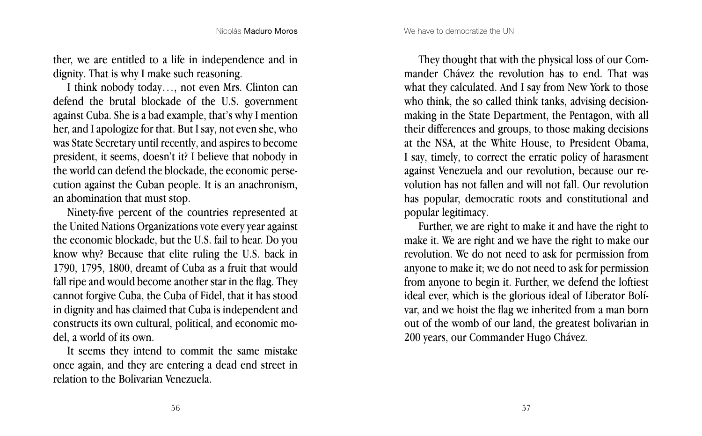ther, we are entitled to a life in independence and in dignity. That is why I make such reasoning.

I think nobody today…, not even Mrs. Clinton can defend the brutal blockade of the U.S. government against Cuba. She is a bad example, that's why I mention her, and I apologize for that. But I say, not even she, who was State Secretary until recently, and aspires to become president, it seems, doesn't it? I believe that nobody in the world can defend the blockade, the economic persecution against the Cuban people. It is an anachronism, an abomination that must stop.

Ninety-five percent of the countries represented at the United Nations Organizations vote every year against the economic blockade, but the U.S. fail to hear. Do you know why? Because that elite ruling the U.S. back in 1790, 1795, 1800, dreamt of Cuba as a fruit that would fall ripe and would become another star in the flag. They cannot forgive Cuba, the Cuba of Fidel, that it has stood in dignity and has claimed that Cuba is independent and constructs its own cultural, political, and economic model, a world of its own.

It seems they intend to commit the same mistake once again, and they are entering a dead end street in relation to the Bolivarian Venezuela.

They thought that with the physical loss of our Commander Chávez the revolution has to end. That was what they calculated. And I say from New York to those who think, the so called think tanks, advising decisionmaking in the State Department, the Pentagon, with all their differences and groups, to those making decisions at the NSA, at the White House, to President Obama, I say, timely, to correct the erratic policy of harasment against Venezuela and our revolution, because our revolution has not fallen and will not fall. Our revolution has popular, democratic roots and constitutional and popular legitimacy.

Further, we are right to make it and have the right to make it. We are right and we have the right to make our revolution. We do not need to ask for permission from anyone to make it; we do not need to ask for permission from anyone to begin it. Further, we defend the loftiest ideal ever, which is the glorious ideal of Liberator Bolívar, and we hoist the flag we inherited from a man born out of the womb of our land, the greatest bolivarian in 200 years, our Commander Hugo Chávez.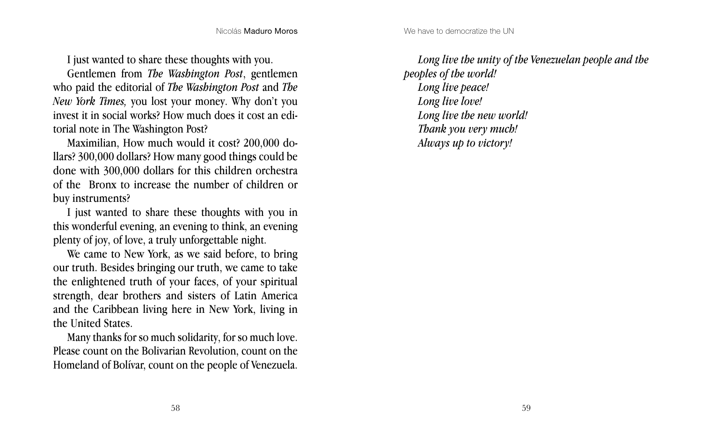I just wanted to share these thoughts with you.

Gentlemen from *The Washington Post*, gentlemen who paid the editorial of *The Washington Post* and *The New York Times,* you lost your money. Why don't you invest it in social works? How much does it cost an editorial note in The Washington Post?

Maximilian, How much would it cost? 200,000 dollars? 300,000 dollars? How many good things could be done with 300,000 dollars for this children orchestra of the Bronx to increase the number of children or buy instruments?

I just wanted to share these thoughts with you in this wonderful evening, an evening to think, an evening plenty of joy, of love, a truly unforgettable night.

We came to New York, as we said before, to bring our truth. Besides bringing our truth, we came to take the enlightened truth of your faces, of your spiritual strength, dear brothers and sisters of Latin America and the Caribbean living here in New York, living in the United States.

Many thanks for so much solidarity, for so much love. Please count on the Bolivarian Revolution, count on the Homeland of Bolívar, count on the people of Venezuela.

*Long live the unity of the Venezuelan people and the peoples of the world! Long live peace! Long live love! Long live the new world! Thank you very much! Always up to victory!*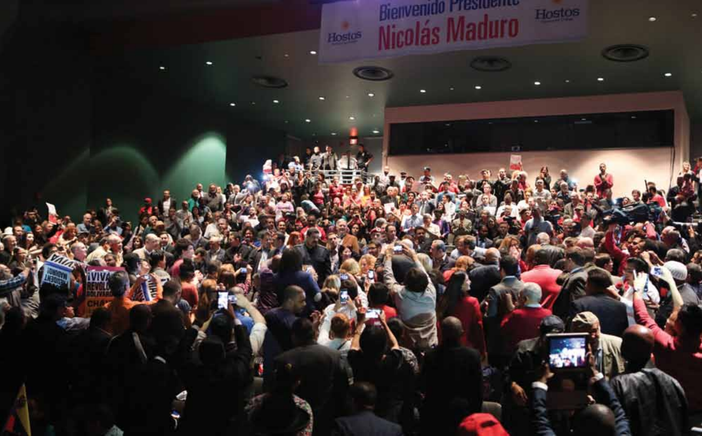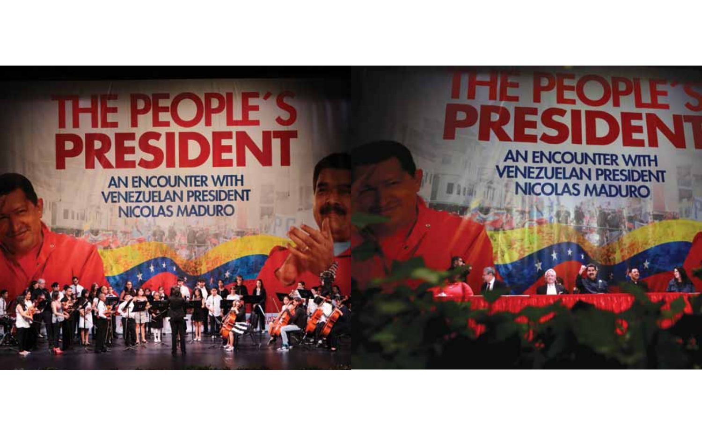

**VENEZUELAN PRESIDENT NICOLAS MADURO** 

# **IHE PEOPLE'S AN ENCOUNTER WITH VENEZUELAN PRESIDENT NICOLAS MADURO**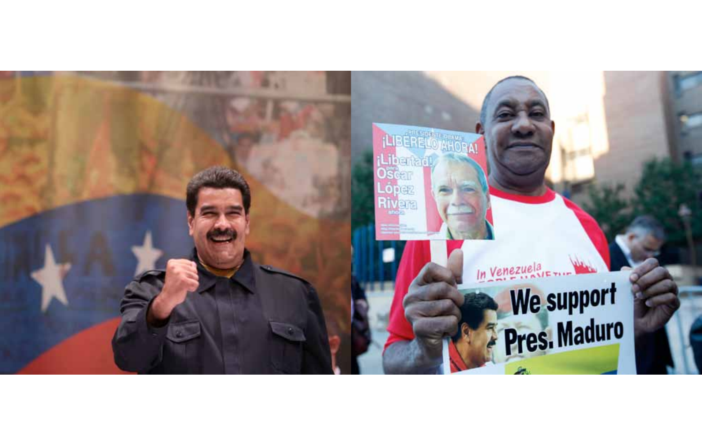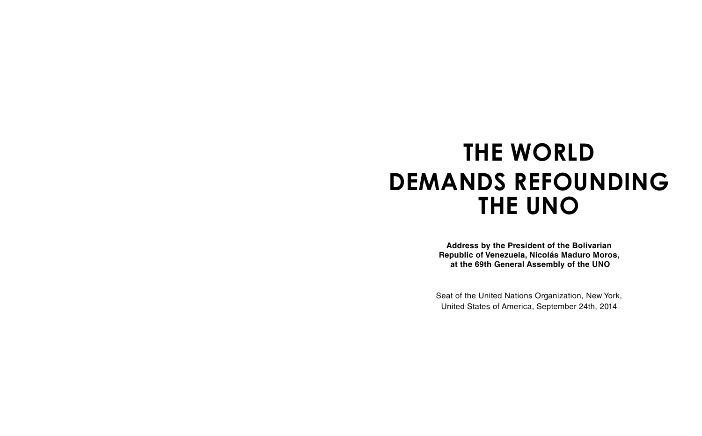## **THE WORLD DEMANDS REFOUNDING THE UNO**

**Address by the President of the Bolivarian Republic of Venezuela, Nicolás Maduro Moros, at the 69th General Assembly of the UNO**

Seat of the United Nations Organization, New York, United States of America, September 24th, 2014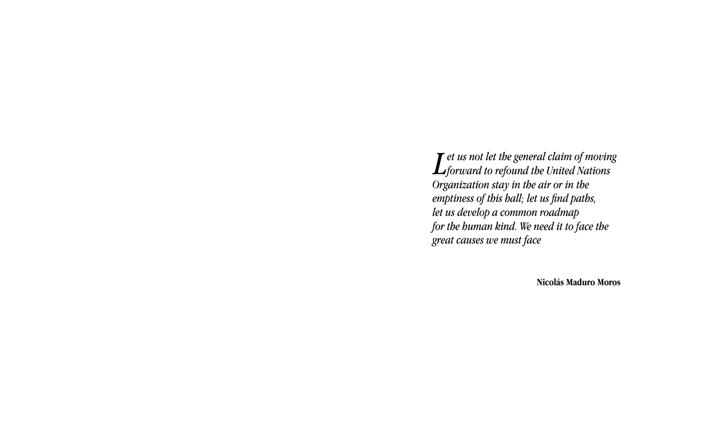*L et us not let the general claim of moving forward to refound the United Nations Organization stay in the air or in the emptiness of this hall; let us find paths, let us develop a common roadmap for the human kind. We need it to face the great causes we must face*

**Nicolás Maduro Moros**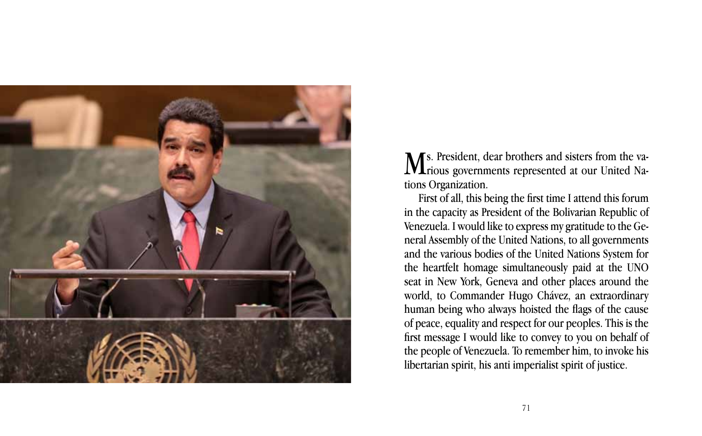

Ms. President, dear brothers and sisters from the va-<br>rious governments represented at our United Nations Organization.

First of all, this being the first time I attend this forum in the capacity as President of the Bolivarian Republic of Venezuela. I would like to express my gratitude to the General Assembly of the United Nations, to all governments and the various bodies of the United Nations System for the heartfelt homage simultaneously paid at the UNO seat in New York, Geneva and other places around the world, to Commander Hugo Chávez, an extraordinary human being who always hoisted the flags of the cause of peace, equality and respect for our peoples. This is the first message I would like to convey to you on behalf of the people of Venezuela. To remember him, to invoke his libertarian spirit, his anti imperialist spirit of justice.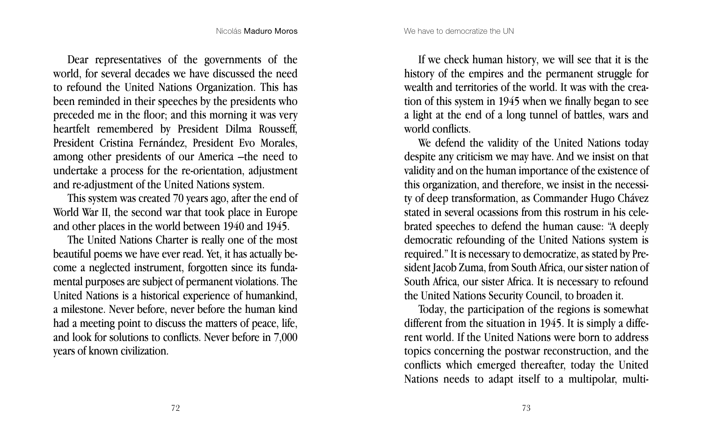Dear representatives of the governments of the world, for several decades we have discussed the need to refound the United Nations Organization. This has been reminded in their speeches by the presidents who preceded me in the floor; and this morning it was very heartfelt remembered by President Dilma Rousseff, President Cristina Fernández, President Evo Morales, among other presidents of our America –the need to undertake a process for the re-orientation, adjustment and re-adjustment of the United Nations system.

This system was created 70 years ago, after the end of World War II, the second war that took place in Europe and other places in the world between 1940 and 1945.

The United Nations Charter is really one of the most beautiful poems we have ever read. Yet, it has actually become a neglected instrument, forgotten since its fundamental purposes are subject of permanent violations. The United Nations is a historical experience of humankind, a milestone. Never before, never before the human kind had a meeting point to discuss the matters of peace, life, and look for solutions to conflicts. Never before in 7,000 years of known civilization.

If we check human history, we will see that it is the history of the empires and the permanent struggle for wealth and territories of the world. It was with the creation of this system in 1945 when we finally began to see a light at the end of a long tunnel of battles, wars and world conflicts.

We defend the validity of the United Nations today despite any criticism we may have. And we insist on that validity and on the human importance of the existence of this organization, and therefore, we insist in the necessity of deep transformation, as Commander Hugo Chávez stated in several ocassions from this rostrum in his celebrated speeches to defend the human cause: "A deeply democratic refounding of the United Nations system is required." It is necessary to democratize, as stated by President Jacob Zuma, from South Africa, our sister nation of South Africa, our sister Africa. It is necessary to refound the United Nations Security Council, to broaden it.

Today, the participation of the regions is somewhat different from the situation in 1945. It is simply a different world. If the United Nations were born to address topics concerning the postwar reconstruction, and the conflicts which emerged thereafter, today the United Nations needs to adapt itself to a multipolar, multi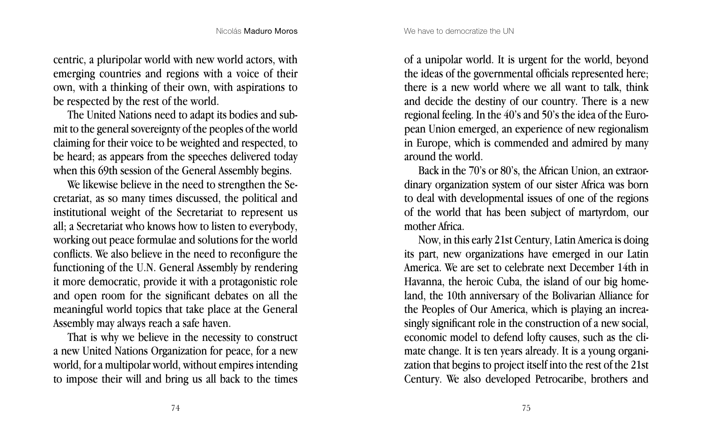Nicolás Maduro Moros We have to democratize the UN

centric, a pluripolar world with new world actors, with emerging countries and regions with a voice of their own, with a thinking of their own, with aspirations to be respected by the rest of the world.

The United Nations need to adapt its bodies and submit to the general sovereignty of the peoples of the world claiming for their voice to be weighted and respected, to be heard; as appears from the speeches delivered today when this 69th session of the General Assembly begins.

We likewise believe in the need to strengthen the Secretariat, as so many times discussed, the political and institutional weight of the Secretariat to represent us all; a Secretariat who knows how to listen to everybody, working out peace formulae and solutions for the world conflicts. We also believe in the need to reconfigure the functioning of the U.N. General Assembly by rendering it more democratic, provide it with a protagonistic role and open room for the significant debates on all the meaningful world topics that take place at the General Assembly may always reach a safe haven.

That is why we believe in the necessity to construct a new United Nations Organization for peace, for a new world, for a multipolar world, without empires intending to impose their will and bring us all back to the times

of a unipolar world. It is urgent for the world, beyond the ideas of the governmental officials represented here; there is a new world where we all want to talk, think and decide the destiny of our country. There is a new regional feeling. In the 40's and 50's the idea of the European Union emerged, an experience of new regionalism in Europe, which is commended and admired by many around the world.

Back in the 70's or 80's, the African Union, an extraordinary organization system of our sister Africa was born to deal with developmental issues of one of the regions of the world that has been subject of martyrdom, our mother Africa.

Now, in this early 21st Century, Latin America is doing its part, new organizations have emerged in our Latin America. We are set to celebrate next December 14th in Havanna, the heroic Cuba, the island of our big homeland, the 10th anniversary of the Bolivarian Alliance for the Peoples of Our America, which is playing an increasingly significant role in the construction of a new social, economic model to defend lofty causes, such as the climate change. It is ten years already. It is a young organization that begins to project itself into the rest of the 21st Century. We also developed Petrocaribe, brothers and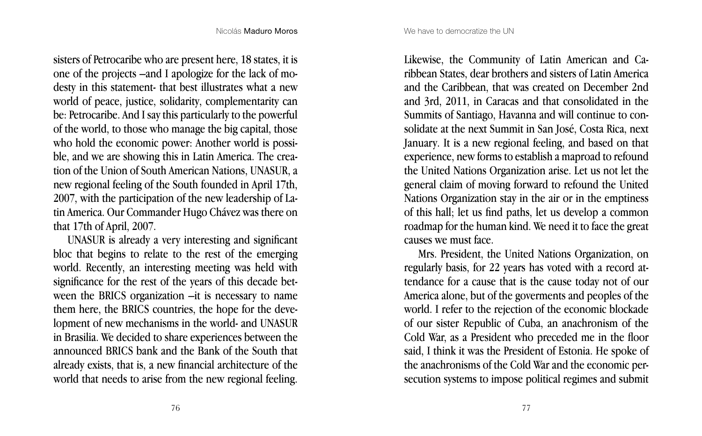sisters of Petrocaribe who are present here, 18 states, it is one of the projects –and I apologize for the lack of modesty in this statement- that best illustrates what a new world of peace, justice, solidarity, complementarity can be: Petrocaribe. And I say this particularly to the powerful of the world, to those who manage the big capital, those who hold the economic power: Another world is possible, and we are showing this in Latin America. The creation of the Union of South American Nations, UNASUR, a new regional feeling of the South founded in April 17th, 2007, with the participation of the new leadership of Latin America. Our Commander Hugo Chávez was there on that 17th of April, 2007.

UNASUR is already a very interesting and significant bloc that begins to relate to the rest of the emerging world. Recently, an interesting meeting was held with significance for the rest of the years of this decade between the BRICS organization –it is necessary to name them here, the BRICS countries, the hope for the development of new mechanisms in the world- and UNASUR in Brasilia. We decided to share experiences between the announced BRICS bank and the Bank of the South that already exists, that is, a new financial architecture of the world that needs to arise from the new regional feeling.

Likewise, the Community of Latin American and Caribbean States, dear brothers and sisters of Latin America and the Caribbean, that was created on December 2nd and 3rd, 2011, in Caracas and that consolidated in the Summits of Santiago, Havanna and will continue to consolidate at the next Summit in San José, Costa Rica, next January. It is a new regional feeling, and based on that experience, new forms to establish a maproad to refound the United Nations Organization arise. Let us not let the general claim of moving forward to refound the United Nations Organization stay in the air or in the emptiness of this hall; let us find paths, let us develop a common roadmap for the human kind. We need it to face the great causes we must face.

Mrs. President, the United Nations Organization, on regularly basis, for 22 years has voted with a record attendance for a cause that is the cause today not of our America alone, but of the goverments and peoples of the world. I refer to the rejection of the economic blockade of our sister Republic of Cuba, an anachronism of the Cold War, as a President who preceded me in the floor said, I think it was the President of Estonia. He spoke of the anachronisms of the Cold War and the economic persecution systems to impose political regimes and submit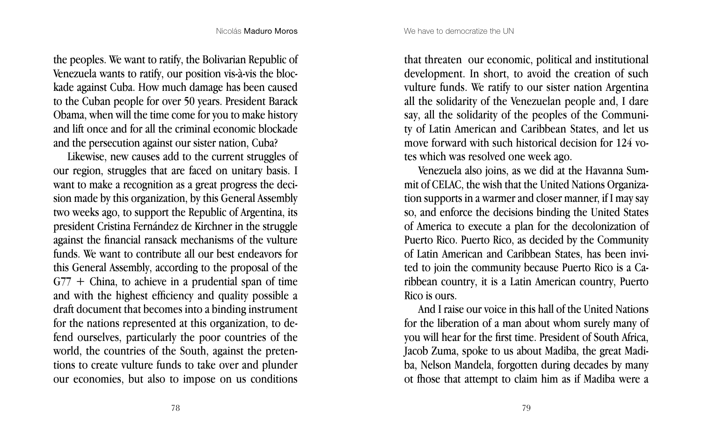Nicolás Maduro Moros We have to democratize the UN

the peoples. We want to ratify, the Bolivarian Republic of Venezuela wants to ratify, our position vis-à-vis the blockade against Cuba. How much damage has been caused to the Cuban people for over 50 years. President Barack Obama, when will the time come for you to make history and lift once and for all the criminal economic blockade and the persecution against our sister nation, Cuba?

Likewise, new causes add to the current struggles of our region, struggles that are faced on unitary basis. I want to make a recognition as a great progress the decision made by this organization, by this General Assembly two weeks ago, to support the Republic of Argentina, its president Cristina Fernández de Kirchner in the struggle against the financial ransack mechanisms of the vulture funds. We want to contribute all our best endeavors for this General Assembly, according to the proposal of the  $G77 + China$ , to achieve in a prudential span of time and with the highest efficiency and quality possible a draft document that becomes into a binding instrument for the nations represented at this organization, to defend ourselves, particularly the poor countries of the world, the countries of the South, against the pretentions to create vulture funds to take over and plunder our economies, but also to impose on us conditions

that threaten our economic, political and institutional development. In short, to avoid the creation of such vulture funds. We ratify to our sister nation Argentina all the solidarity of the Venezuelan people and, I dare say, all the solidarity of the peoples of the Community of Latin American and Caribbean States, and let us move forward with such historical decision for 124 votes which was resolved one week ago.

Venezuela also joins, as we did at the Havanna Summit of CELAC, the wish that the United Nations Organization supports in a warmer and closer manner, if I may say so, and enforce the decisions binding the United States of America to execute a plan for the decolonization of Puerto Rico. Puerto Rico, as decided by the Community of Latin American and Caribbean States, has been invited to join the community because Puerto Rico is a Caribbean country, it is a Latin American country, Puerto Rico is ours.

And I raise our voice in this hall of the United Nations for the liberation of a man about whom surely many of you will hear for the first time. President of South Africa, Jacob Zuma, spoke to us about Madiba, the great Madiba, Nelson Mandela, forgotten during decades by many ot fhose that attempt to claim him as if Madiba were a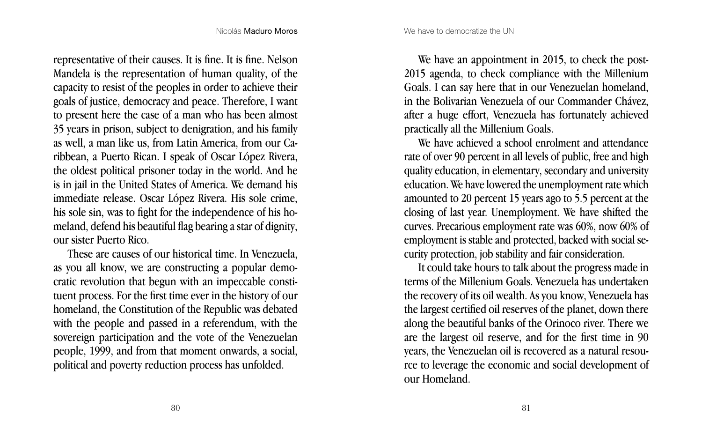representative of their causes. It is fine. It is fine. Nelson Mandela is the representation of human quality, of the capacity to resist of the peoples in order to achieve their goals of justice, democracy and peace. Therefore, I want to present here the case of a man who has been almost 35 years in prison, subject to denigration, and his family as well, a man like us, from Latin America, from our Caribbean, a Puerto Rican. I speak of Oscar López Rivera, the oldest political prisoner today in the world. And he is in jail in the United States of America. We demand his immediate release. Oscar López Rivera. His sole crime, his sole sin, was to fight for the independence of his homeland, defend his beautiful flag bearing a star of dignity, our sister Puerto Rico.

These are causes of our historical time. In Venezuela, as you all know, we are constructing a popular democratic revolution that begun with an impeccable constituent process. For the first time ever in the history of our homeland, the Constitution of the Republic was debated with the people and passed in a referendum, with the sovereign participation and the vote of the Venezuelan people, 1999, and from that moment onwards, a social, political and poverty reduction process has unfolded.

We have an appointment in 2015, to check the post-2015 agenda, to check compliance with the Millenium Goals. I can say here that in our Venezuelan homeland, in the Bolivarian Venezuela of our Commander Chávez, after a huge effort, Venezuela has fortunately achieved practically all the Millenium Goals.

We have achieved a school enrolment and attendance rate of over 90 percent in all levels of public, free and high quality education, in elementary, secondary and university education. We have lowered the unemployment rate which amounted to 20 percent 15 years ago to 5.5 percent at the closing of last year. Unemployment. We have shifted the curves. Precarious employment rate was 60%, now 60% of employment is stable and protected, backed with social security protection, job stability and fair consideration.

It could take hours to talk about the progress made in terms of the Millenium Goals. Venezuela has undertaken the recovery of its oil wealth. As you know, Venezuela has the largest certified oil reserves of the planet, down there along the beautiful banks of the Orinoco river. There we are the largest oil reserve, and for the first time in 90 years, the Venezuelan oil is recovered as a natural resource to leverage the economic and social development of our Homeland.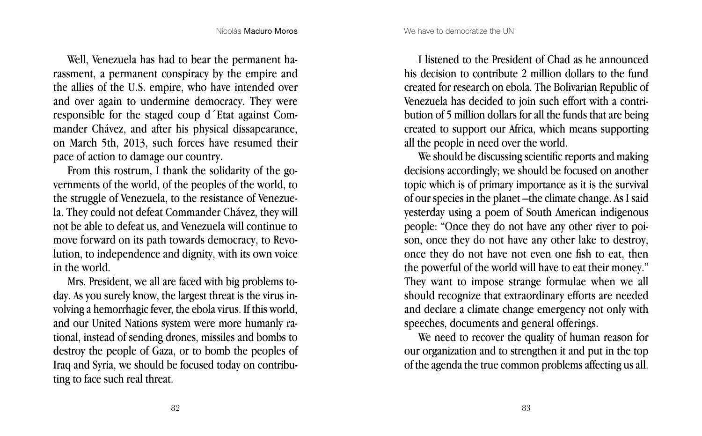Nicolás Maduro Moros We have to democratize the UN

Well, Venezuela has had to bear the permanent harassment, a permanent conspiracy by the empire and the allies of the U.S. empire, who have intended over and over again to undermine democracy. They were responsible for the staged coup d´Etat against Commander Chávez, and after his physical dissapearance, on March 5th, 2013, such forces have resumed their pace of action to damage our country.

From this rostrum, I thank the solidarity of the governments of the world, of the peoples of the world, to the struggle of Venezuela, to the resistance of Venezuela. They could not defeat Commander Chávez, they will not be able to defeat us, and Venezuela will continue to move forward on its path towards democracy, to Revolution, to independence and dignity, with its own voice in the world.

Mrs. President, we all are faced with big problems today. As you surely know, the largest threat is the virus involving a hemorrhagic fever, the ebola virus. If this world, and our United Nations system were more humanly rational, instead of sending drones, missiles and bombs to destroy the people of Gaza, or to bomb the peoples of Iraq and Syria, we should be focused today on contributing to face such real threat.

I listened to the President of Chad as he announced his decision to contribute 2 million dollars to the fund created for research on ebola. The Bolivarian Republic of Venezuela has decided to join such effort with a contribution of 5 million dollars for all the funds that are being created to support our Africa, which means supporting all the people in need over the world.

We should be discussing scientific reports and making decisions accordingly; we should be focused on another topic which is of primary importance as it is the survival of our species in the planet –the climate change. As I said yesterday using a poem of South American indigenous people: "Once they do not have any other river to poison, once they do not have any other lake to destroy, once they do not have not even one fish to eat, then the powerful of the world will have to eat their money." They want to impose strange formulae when we all should recognize that extraordinary efforts are needed and declare a climate change emergency not only with speeches, documents and general offerings.

We need to recover the quality of human reason for our organization and to strengthen it and put in the top of the agenda the true common problems affecting us all.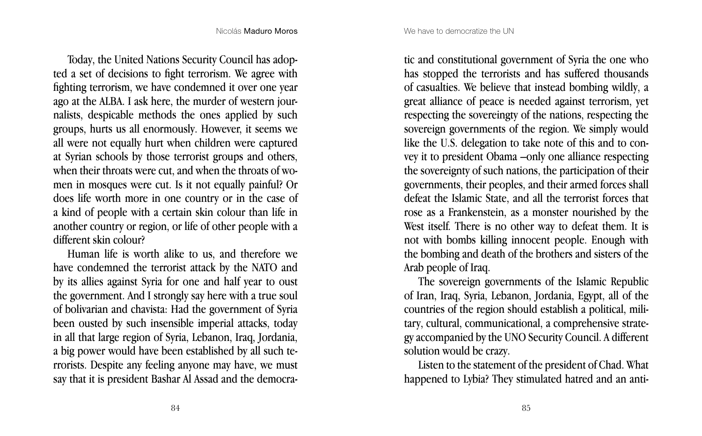Today, the United Nations Security Council has adopted a set of decisions to fight terrorism. We agree with fighting terrorism, we have condemned it over one year ago at the ALBA. I ask here, the murder of western journalists, despicable methods the ones applied by such groups, hurts us all enormously. However, it seems we all were not equally hurt when children were captured at Syrian schools by those terrorist groups and others, when their throats were cut, and when the throats of women in mosques were cut. Is it not equally painful? Or does life worth more in one country or in the case of a kind of people with a certain skin colour than life in another country or region, or life of other people with a different skin colour?

Human life is worth alike to us, and therefore we have condemned the terrorist attack by the NATO and by its allies against Syria for one and half year to oust the government. And I strongly say here with a true soul of bolivarian and chavista: Had the government of Syria been ousted by such insensible imperial attacks, today in all that large region of Syria, Lebanon, Iraq, Jordania, a big power would have been established by all such terrorists. Despite any feeling anyone may have, we must say that it is president Bashar Al Assad and the democra-

tic and constitutional government of Syria the one who has stopped the terrorists and has suffered thousands of casualties. We believe that instead bombing wildly, a great alliance of peace is needed against terrorism, yet respecting the sovereingty of the nations, respecting the sovereign governments of the region. We simply would like the U.S. delegation to take note of this and to convey it to president Obama –only one alliance respecting the sovereignty of such nations, the participation of their governments, their peoples, and their armed forces shall defeat the Islamic State, and all the terrorist forces that rose as a Frankenstein, as a monster nourished by the West itself. There is no other way to defeat them. It is not with bombs killing innocent people. Enough with the bombing and death of the brothers and sisters of the Arab people of Iraq.

The sovereign governments of the Islamic Republic of Iran, Iraq, Syria, Lebanon, Jordania, Egypt, all of the countries of the region should establish a political, military, cultural, communicational, a comprehensive strategy accompanied by the UNO Security Council. A different solution would be crazy.

Listen to the statement of the president of Chad. What happened to Lybia? They stimulated hatred and an anti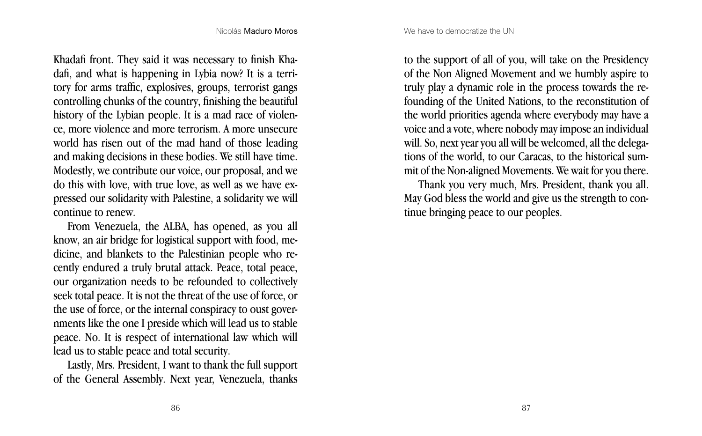Nicolás Maduro Moros We have to democratize the UN

Khadafi front. They said it was necessary to finish Khadafi, and what is happening in Lybia now? It is a territory for arms traffic, explosives, groups, terrorist gangs controlling chunks of the country, finishing the beautiful history of the Lybian people. It is a mad race of violence, more violence and more terrorism. A more unsecure world has risen out of the mad hand of those leading and making decisions in these bodies. We still have time. Modestly, we contribute our voice, our proposal, and we do this with love, with true love, as well as we have expressed our solidarity with Palestine, a solidarity we will continue to renew.

From Venezuela, the ALBA, has opened, as you all know, an air bridge for logistical support with food, medicine, and blankets to the Palestinian people who recently endured a truly brutal attack. Peace, total peace, our organization needs to be refounded to collectively seek total peace. It is not the threat of the use of force, or the use of force, or the internal conspiracy to oust governments like the one I preside which will lead us to stable peace. No. It is respect of international law which will lead us to stable peace and total security.

Lastly, Mrs. President, I want to thank the full support of the General Assembly. Next year, Venezuela, thanks to the support of all of you, will take on the Presidency of the Non Aligned Movement and we humbly aspire to truly play a dynamic role in the process towards the refounding of the United Nations, to the reconstitution of the world priorities agenda where everybody may have a voice and a vote, where nobody may impose an individual will. So, next year you all will be welcomed, all the delegations of the world, to our Caracas, to the historical summit of the Non-aligned Movements. We wait for you there.

Thank you very much, Mrs. President, thank you all. May God bless the world and give us the strength to continue bringing peace to our peoples.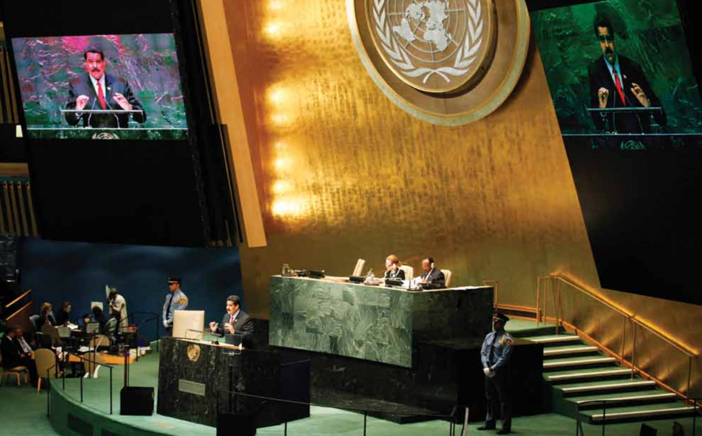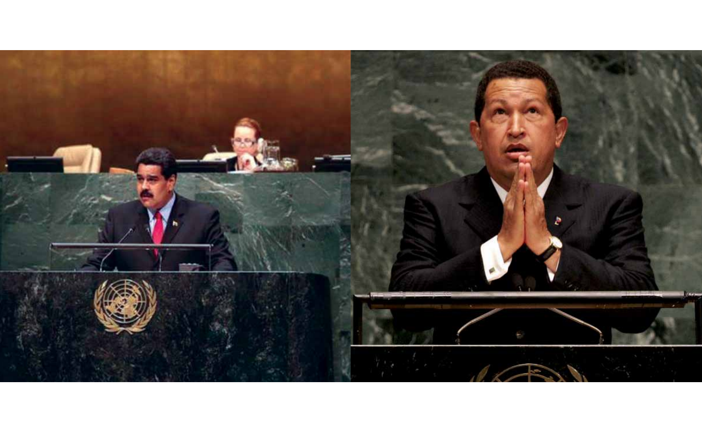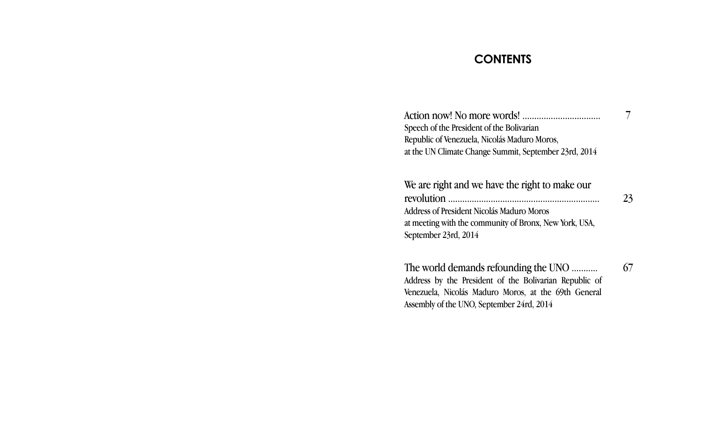#### **CONTENTS**

Action now! No more words! ................................. Speech of the President of the Bolivarian Republic of Venezuela, Nicolás Maduro Moros, at the UN Climate Change Summit, September 23rd, 2014

| We are right and we have the right to make our         |    |
|--------------------------------------------------------|----|
|                                                        | 23 |
| Address of President Nicolás Maduro Moros              |    |
| at meeting with the community of Bronx, New York, USA, |    |
| September 23rd, 2014                                   |    |

The world demands refounding the UNO ........... Address by the President of the Bolivarian Republic of Venezuela, Nicolás Maduro Moros, at the 69th General Assembly of the UNO, September 24rd, 2014

67

7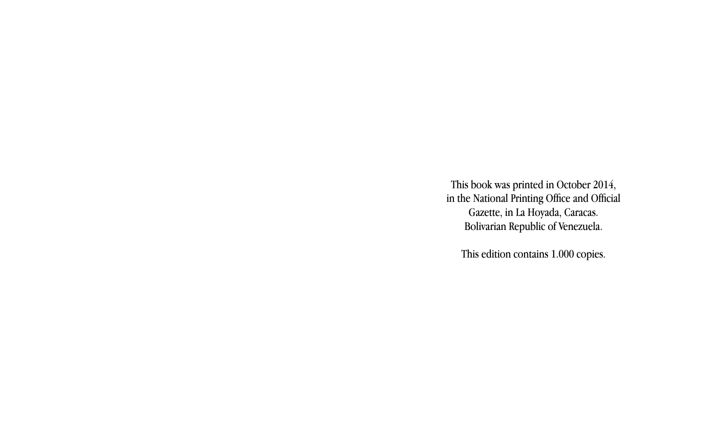This book was printed in October 2014, in the National Printing Office and Official Gazette, in La Hoyada, Caracas. Bolivarian Republic of Venezuela.

This edition contains 1.000 copies.